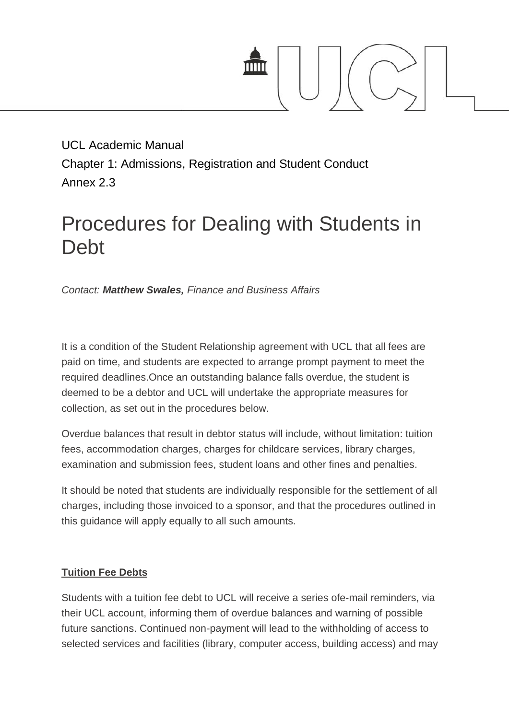

UCL Academic Manual UCL Academic Manual<br>Chapter 1: Admissions, Registration and Student Conduct Annex 2.3

## Procedures for Dealing with Students in Debt

*Contact: Matthew Swales, Finance and Business Affairs Matthew Swales,*

It is a condition of the Student Relationship agreement with UCL that all fees are paid on time, and students are expected to arrange prompt payment to meet the required deadlines.Once an outstanding balance falls overdue, the student is deemed to be a debtor and UCL will undertake the appropriate measures for collection, as set out in the procedures below. deemed to be a debtor and UCL will undertake the appropriate measures for<br>collection, as set out in the procedures below.<br>Overdue balances that result in debtor status will include, without limitation: tuition

fees, accommodation charges, charges for childcare services, library charges, examination and submission fees, student loans and other fines and penalties.

It should be noted that students are individually responsible for the settlement of all charges, including those invoiced to a sponsor, and that the procedures outlined in this guidance will apply equally to all such amounts. accommodation charges, charges for childcare services, library charges,<br>ination and submission fees, student loans and other fines and penalties.<br>uld be noted that students are individually responsible for the settlement o

## **Tuition Fee Debts Debts**

Students with a tuition fee debt to UCL will receive a series ofe-mail reminders, via their UCL account, informing them of overdue balances and warning of possible future sanctions. Continued non-payment will lead to the withholding of access to Students with a tuition fee debt to UCL will receive a series ofe-mail reminders, via<br>their UCL account, informing them of overdue balances and warning of possible<br>future sanctions. Continued non-payment will lead to the w